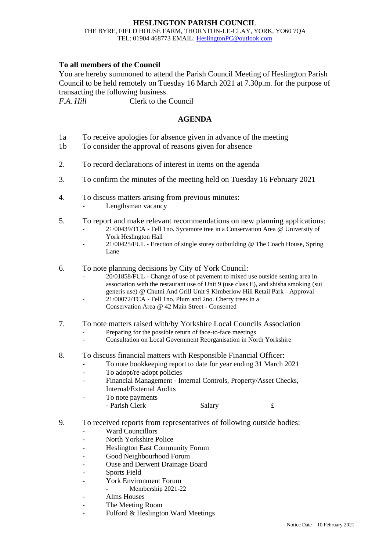## **HESLINGTON PARISH COUNCIL** THE BYRE, FIELD HOUSE FARM, THORNTON-LE-CLAY, YORK, YO60 7QA TEL: 01904 468773 EMAIL: [HeslingtonPC@outlook.com](mailto:HeslingtonPC@outlook.com)

## **To all members of the Council**

You are hereby summoned to attend the Parish Council Meeting of Heslington Parish Council to be held remotely on Tuesday 16 March 2021 at 7.30p.m. for the purpose of transacting the following business.

*F.A. Hill* Clerk to the Council

## **AGENDA**

- 1a To receive apologies for absence given in advance of the meeting
- 1b To consider the approval of reasons given for absence
- 2. To record declarations of interest in items on the agenda
- 3. To confirm the minutes of the meeting held on Tuesday 16 February 2021
- 4. To discuss matters arising from previous minutes:
	- Lengthsman vacancy
- 5. To report and make relevant recommendations on new planning applications:
	- 21/00439/TCA Fell 1no. Sycamore tree in a Conservation Area @ University of York Heslington Hall
	- 21/00425/FUL Erection of single storey outbuilding @ The Coach House, Spring Lane
- 6. To note planning decisions by City of York Council:
	- 20/01858/FUL Change of use of pavement to mixed use outside seating area in association with the restaurant use of Unit 9 (use class E), and shisha smoking (sui generis use) @ Chutni And Grill Unit 9 Kimberlow Hill Retail Park - Approval
	- 21/00072/TCA Fell 1no. Plum and 2no. Cherry trees in a Conservation Area @ 42 Main Street - Consented
- 7. To note matters raised with/by Yorkshire Local Councils Association
	- Preparing for the possible return of face-to-face meetings
	- Consultation on Local Government Reorganisation in North Yorkshire
- 8. To discuss financial matters with Responsible Financial Officer:
	- To note bookkeeping report to date for year ending 31 March 2021
	- To adopt/re-adopt policies
	- Financial Management Internal Controls, Property/Asset Checks, Internal/External Audits
	- To note payments - Parish Clerk Salary 5.
- 9. To received reports from representatives of following outside bodies:
	- Ward Councillors
	- North Yorkshire Police
	- Heslington East Community Forum
	- Good Neighbourhood Forum
	- Ouse and Derwent Drainage Board
	- Sports Field
	- York Environment Forum
		- Membership 2021-22
	- Alms Houses
	- The Meeting Room
	- Fulford & Heslington Ward Meetings